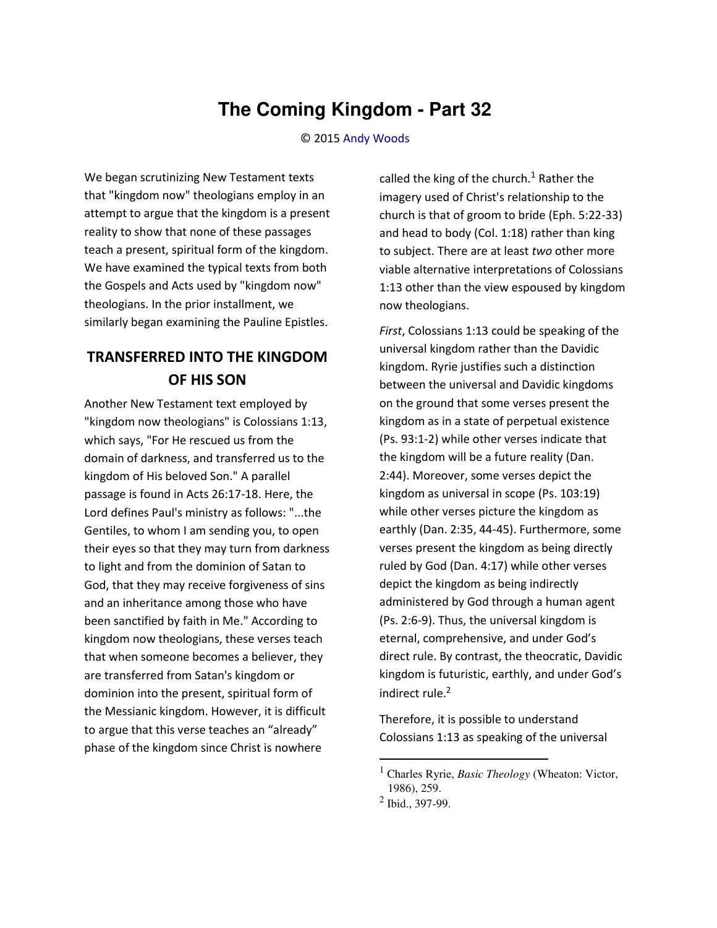## **The Coming Kingdom - Part 32**

© 2015 [Andy Woods](http://www.spiritandtruth.org/id/aw.htm)

We began scrutinizing New Testament texts that "kingdom now" theologians employ in an attempt to argue that the kingdom is a present reality to show that none of these passages teach a present, spiritual form of the kingdom. We have examined the typical texts from both the Gospels and Acts used by "kingdom now" theologians. In the prior installment, we similarly began examining the Pauline Epistles.

## **TRANSFERRED INTO THE KINGDOM OF HIS SON**

Another New Testament text employed by "kingdom now theologians" is Colossians 1:13, which says, "For He rescued us from the domain of darkness, and transferred us to the kingdom of His beloved Son." A parallel passage is found in Acts 26:17-18. Here, the Lord defines Paul's ministry as follows: "...the Gentiles, to whom I am sending you, to open their eyes so that they may turn from darkness to light and from the dominion of Satan to God, that they may receive forgiveness of sins and an inheritance among those who have been sanctified by faith in Me." According to kingdom now theologians, these verses teach that when someone becomes a believer, they are transferred from Satan's kingdom or dominion into the present, spiritual form of the Messianic kingdom. However, it is difficult to argue that this verse teaches an "already" phase of the kingdom since Christ is nowhere

called the king of the church.<sup>1</sup> Rather the imagery used of Christ's relationship to the church is that of groom to bride (Eph. 5:22-33) and head to body (Col. 1:18) rather than king to subject. There are at least *two* other more viable alternative interpretations of Colossians 1:13 other than the view espoused by kingdom now theologians.

*First*, Colossians 1:13 could be speaking of the universal kingdom rather than the Davidic kingdom. Ryrie justifies such a distinction between the universal and Davidic kingdoms on the ground that some verses present the kingdom as in a state of perpetual existence (Ps. 93:1-2) while other verses indicate that the kingdom will be a future reality (Dan. 2:44). Moreover, some verses depict the kingdom as universal in scope (Ps. 103:19) while other verses picture the kingdom as earthly (Dan. 2:35, 44-45). Furthermore, some verses present the kingdom as being directly ruled by God (Dan. 4:17) while other verses depict the kingdom as being indirectly administered by God through a human agent (Ps. 2:6-9). Thus, the universal kingdom is eternal, comprehensive, and under God's direct rule. By contrast, the theocratic, Davidic kingdom is futuristic, earthly, and under God's indirect rule.<sup>2</sup>

Therefore, it is possible to understand Colossians 1:13 as speaking of the universal

 $\overline{\phantom{0}}$ 

<sup>1</sup> Charles Ryrie, *Basic Theology* (Wheaton: Victor, 1986), 259.

 $2$  Ibid., 397-99.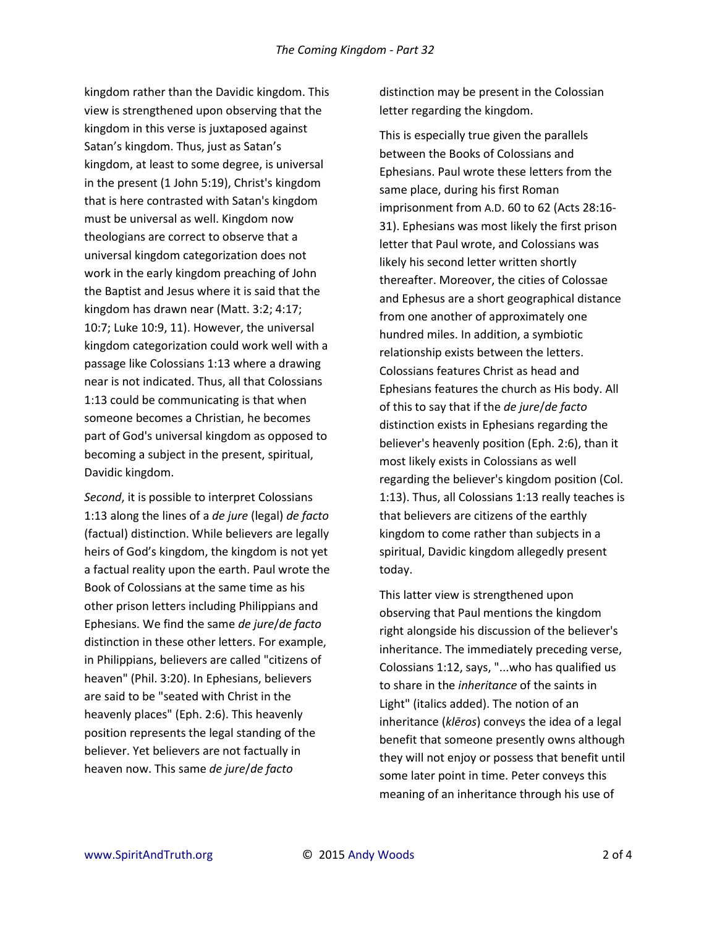kingdom rather than the Davidic kingdom. This view is strengthened upon observing that the kingdom in this verse is juxtaposed against Satan's kingdom. Thus, just as Satan's kingdom, at least to some degree, is universal in the present (1 John 5:19), Christ's kingdom that is here contrasted with Satan's kingdom must be universal as well. Kingdom now theologians are correct to observe that a universal kingdom categorization does not work in the early kingdom preaching of John the Baptist and Jesus where it is said that the kingdom has drawn near (Matt. 3:2; 4:17; 10:7; Luke 10:9, 11). However, the universal kingdom categorization could work well with a passage like Colossians 1:13 where a drawing near is not indicated. Thus, all that Colossians 1:13 could be communicating is that when someone becomes a Christian, he becomes part of God's universal kingdom as opposed to becoming a subject in the present, spiritual, Davidic kingdom.

*Second*, it is possible to interpret Colossians 1:13 along the lines of a *de jure* (legal) *de facto* (factual) distinction. While believers are legally heirs of God's kingdom, the kingdom is not yet a factual reality upon the earth. Paul wrote the Book of Colossians at the same time as his other prison letters including Philippians and Ephesians. We find the same *de jure*/*de facto* distinction in these other letters. For example, in Philippians, believers are called "citizens of heaven" (Phil. 3:20). In Ephesians, believers are said to be "seated with Christ in the heavenly places" (Eph. 2:6). This heavenly position represents the legal standing of the believer. Yet believers are not factually in heaven now. This same *de jure*/*de facto*

distinction may be present in the Colossian letter regarding the kingdom.

This is especially true given the parallels between the Books of Colossians and Ephesians. Paul wrote these letters from the same place, during his first Roman imprisonment from A.D. 60 to 62 (Acts 28:16- 31). Ephesians was most likely the first prison letter that Paul wrote, and Colossians was likely his second letter written shortly thereafter. Moreover, the cities of Colossae and Ephesus are a short geographical distance from one another of approximately one hundred miles. In addition, a symbiotic relationship exists between the letters. Colossians features Christ as head and Ephesians features the church as His body. All of this to say that if the *de jure*/*de facto* distinction exists in Ephesians regarding the believer's heavenly position (Eph. 2:6), than it most likely exists in Colossians as well regarding the believer's kingdom position (Col. 1:13). Thus, all Colossians 1:13 really teaches is that believers are citizens of the earthly kingdom to come rather than subjects in a spiritual, Davidic kingdom allegedly present today.

This latter view is strengthened upon observing that Paul mentions the kingdom right alongside his discussion of the believer's inheritance. The immediately preceding verse, Colossians 1:12, says, "...who has qualified us to share in the *inheritance* of the saints in Light" (italics added). The notion of an inheritance (*klēros*) conveys the idea of a legal benefit that someone presently owns although they will not enjoy or possess that benefit until some later point in time. Peter conveys this meaning of an inheritance through his use of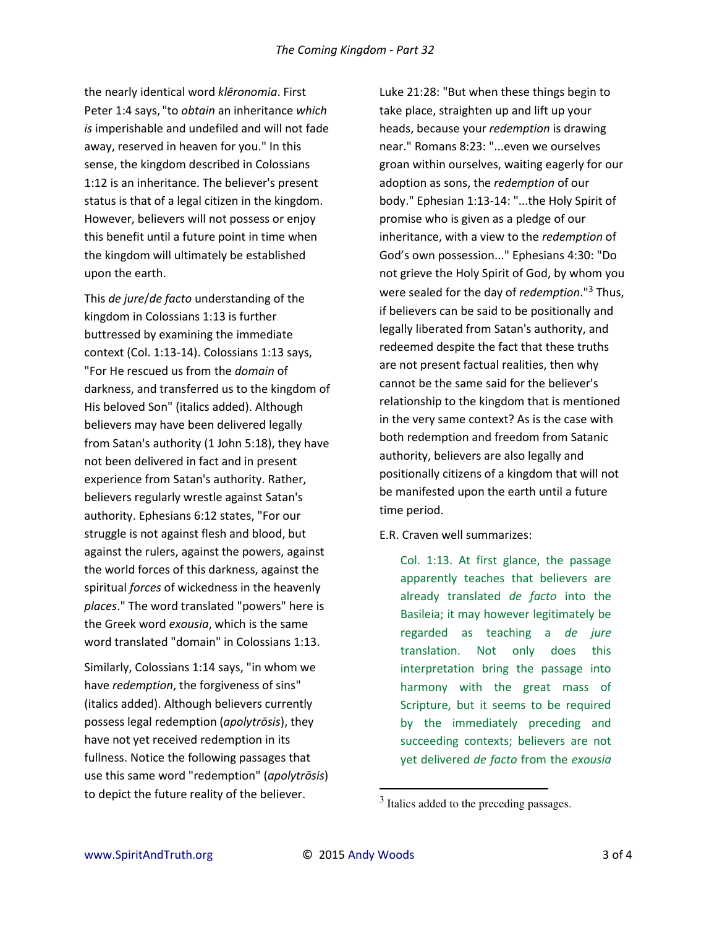the nearly identical word *klēronomia*. First Peter 1:4 says, "to *obtain* an inheritance *which is* imperishable and undefiled and will not fade away, reserved in heaven for you." In this sense, the kingdom described in Colossians 1:12 is an inheritance. The believer's present status is that of a legal citizen in the kingdom. However, believers will not possess or enjoy this benefit until a future point in time when the kingdom will ultimately be established upon the earth.

This *de jure*/*de facto* understanding of the kingdom in Colossians 1:13 is further buttressed by examining the immediate context (Col. 1:13-14). Colossians 1:13 says, "For He rescued us from the *domain* of darkness, and transferred us to the kingdom of His beloved Son" (italics added). Although believers may have been delivered legally from Satan's authority (1 John 5:18), they have not been delivered in fact and in present experience from Satan's authority. Rather, believers regularly wrestle against Satan's authority. Ephesians 6:12 states, "For our struggle is not against flesh and blood, but against the rulers, against the powers, against the world forces of this darkness, against the spiritual *forces* of wickedness in the heavenly *places*." The word translated "powers" here is the Greek word *exousia*, which is the same word translated "domain" in Colossians 1:13.

Similarly, Colossians 1:14 says, "in whom we have *redemption*, the forgiveness of sins" (italics added). Although believers currently possess legal redemption (*apolytrōsis*), they have not yet received redemption in its fullness. Notice the following passages that use this same word "redemption" (*apolytrōsis*) to depict the future reality of the believer.

Luke 21:28: "But when these things begin to take place, straighten up and lift up your heads, because your *redemption* is drawing near." Romans 8:23: "...even we ourselves groan within ourselves, waiting eagerly for our adoption as sons, the *redemption* of our body." Ephesian 1:13-14: "...the Holy Spirit of promise who is given as a pledge of our inheritance, with a view to the *redemption* of God's own possession..." Ephesians 4:30: "Do not grieve the Holy Spirit of God, by whom you were sealed for the day of *redemption*."<sup>3</sup> Thus, if believers can be said to be positionally and legally liberated from Satan's authority, and redeemed despite the fact that these truths are not present factual realities, then why cannot be the same said for the believer's relationship to the kingdom that is mentioned in the very same context? As is the case with both redemption and freedom from Satanic authority, believers are also legally and positionally citizens of a kingdom that will not be manifested upon the earth until a future time period.

E.R. Craven well summarizes:

Col. 1:13. At first glance, the passage apparently teaches that believers are already translated *de facto* into the Basileia; it may however legitimately be regarded as teaching a *de jure* translation. Not only does this interpretation bring the passage into harmony with the great mass of Scripture, but it seems to be required by the immediately preceding and succeeding contexts; believers are not yet delivered *de facto* from the *exousia*

l

<sup>&</sup>lt;sup>3</sup> Italics added to the preceding passages.